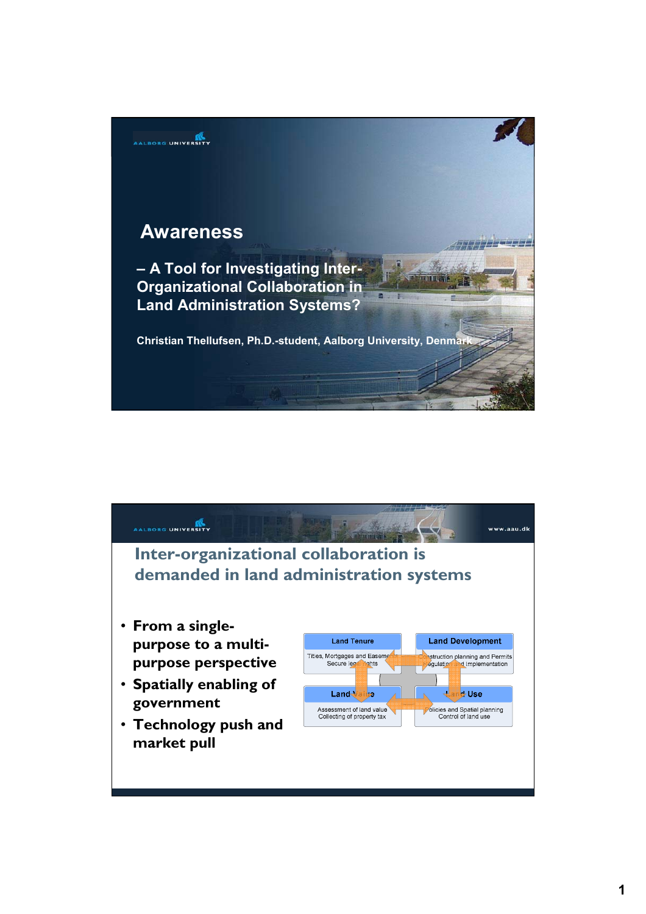

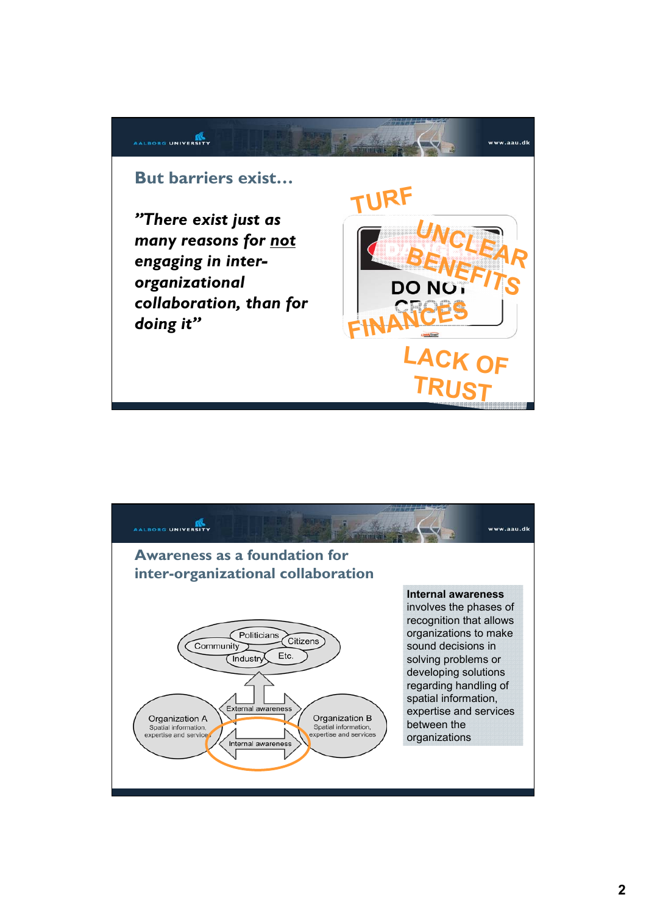

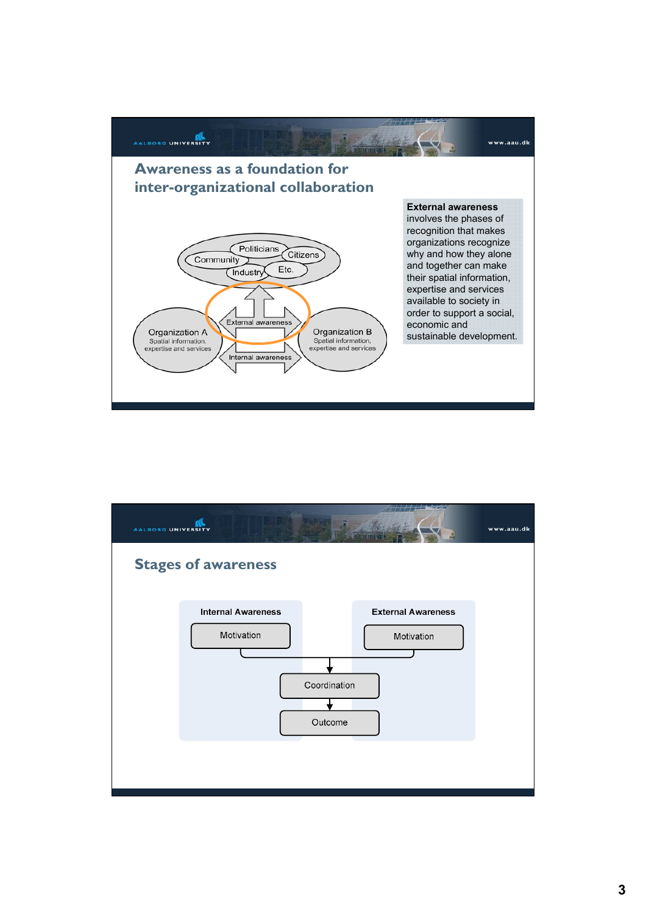

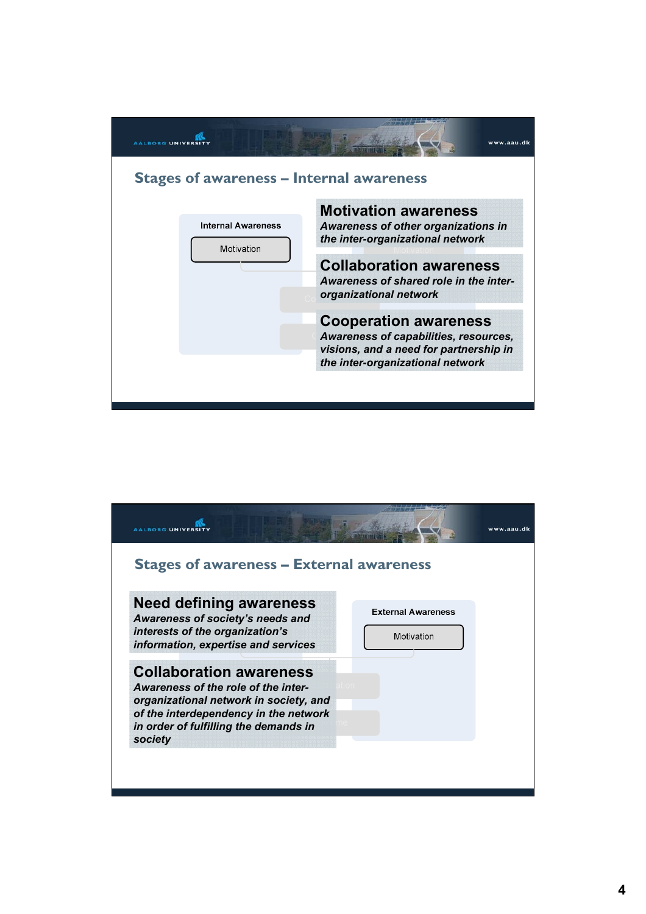

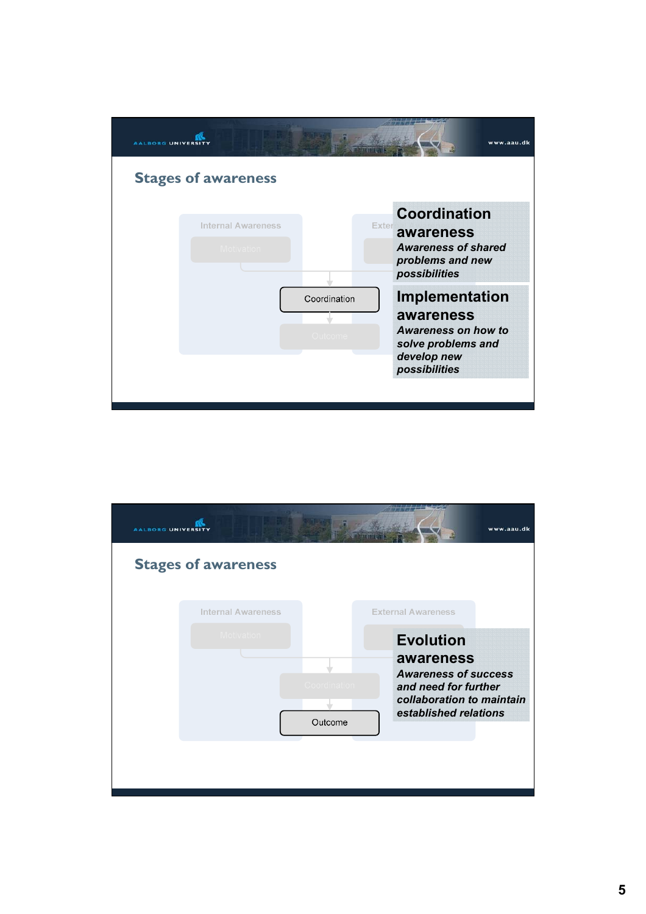| <b>AALBORG UNIVERSI</b>                                        | www.aau.dk                                                                                               |
|----------------------------------------------------------------|----------------------------------------------------------------------------------------------------------|
| <b>Stages of awareness</b>                                     |                                                                                                          |
| <b>Internal Awareness</b><br><b>Exter</b><br><b>Motivation</b> | <b>Coordination</b><br>awareness<br><b>Awareness of shared</b><br>problems and new<br>possibilities      |
| Coordination<br>Outcome                                        | Implementation<br>awareness<br>Awareness on how to<br>solve problems and<br>develop new<br>possibilities |
|                                                                |                                                                                                          |

| <b>AALBORG UNIVERSIT</b> |                            |              |                                                   | www.aau.dk |
|--------------------------|----------------------------|--------------|---------------------------------------------------|------------|
|                          | <b>Stages of awareness</b> |              |                                                   |            |
|                          | <b>Internal Awareness</b>  |              | <b>External Awareness</b>                         |            |
|                          | Motivation                 |              | <b>Evolution</b>                                  |            |
|                          |                            |              | awareness<br><b>Awareness of success</b>          |            |
|                          |                            | Coordination | and need for further<br>collaboration to maintain |            |
|                          |                            | Outcome      | established relations                             |            |
|                          |                            |              |                                                   |            |
|                          |                            |              |                                                   |            |
|                          |                            |              |                                                   |            |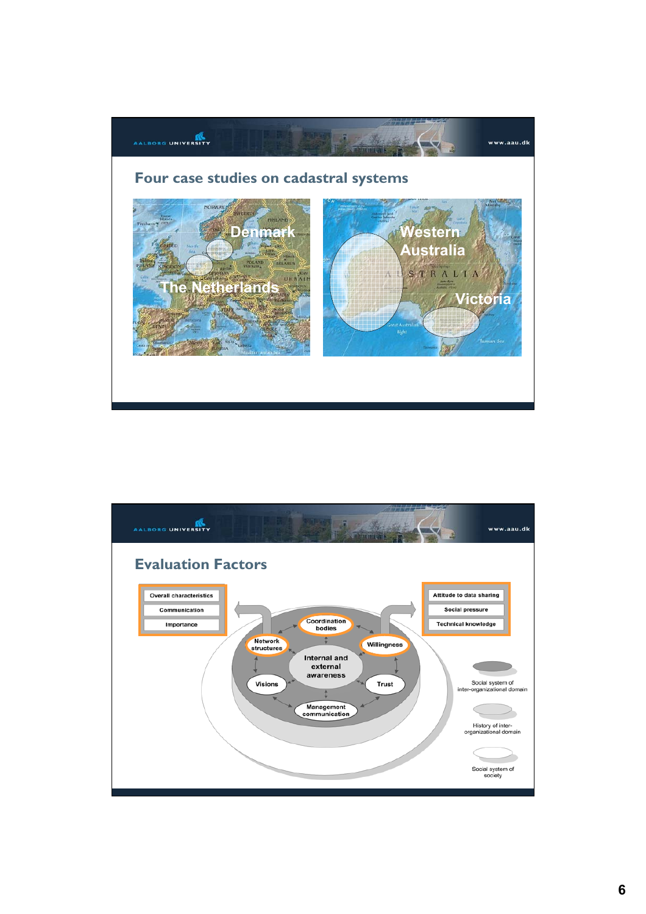

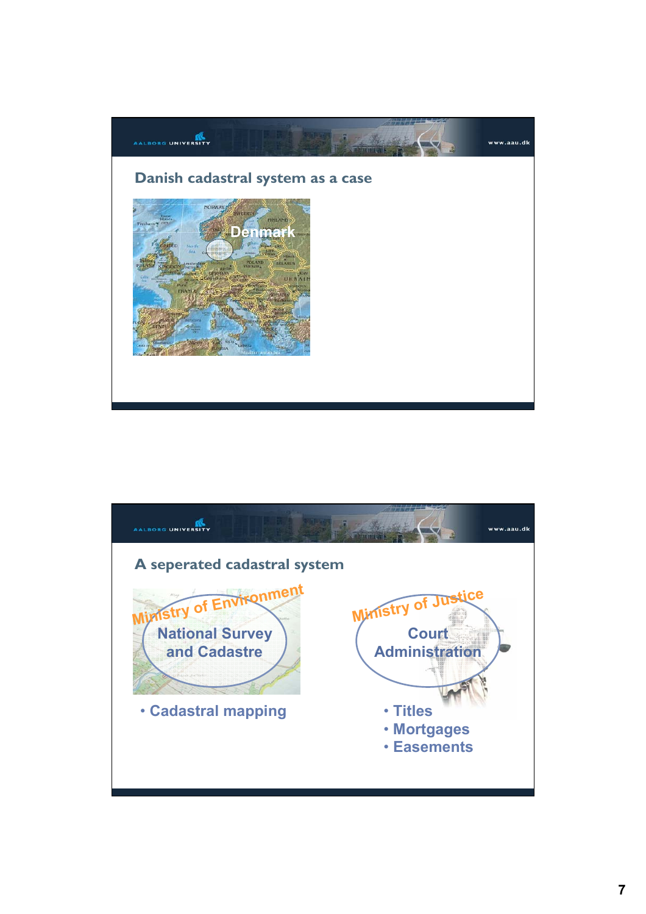

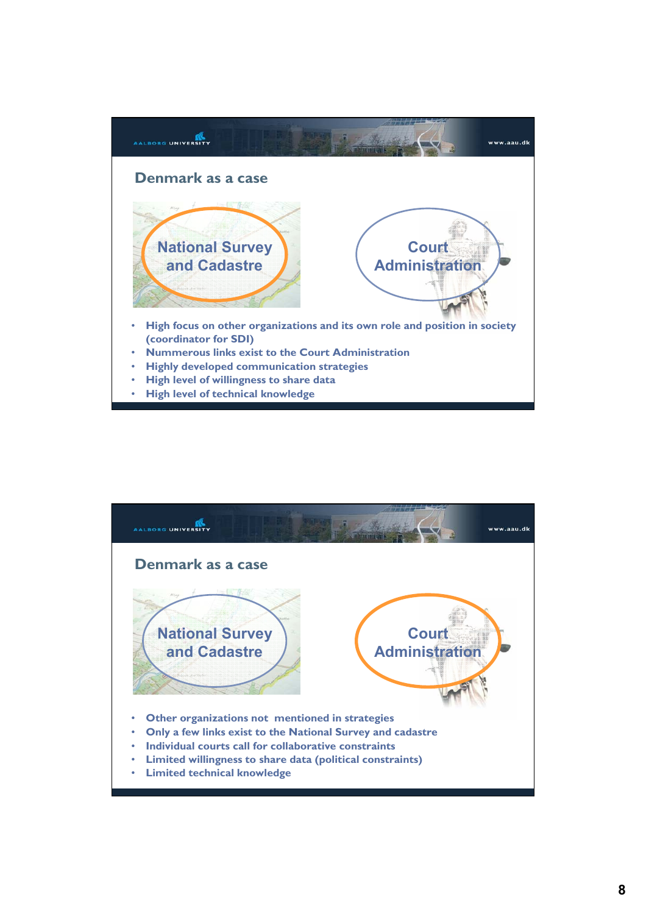

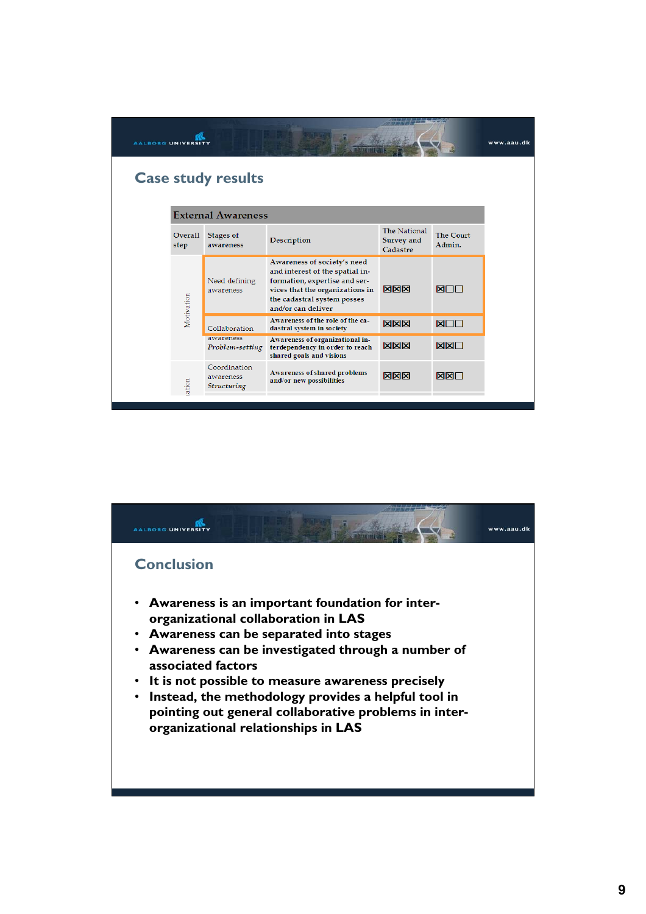| <b>AALBORG UNIVERSIT</b>  |                        |                                          |                                                                                                                                                                                         |                                        |                            | www.aau.dk |  |  |  |
|---------------------------|------------------------|------------------------------------------|-----------------------------------------------------------------------------------------------------------------------------------------------------------------------------------------|----------------------------------------|----------------------------|------------|--|--|--|
| <b>Case study results</b> |                        |                                          |                                                                                                                                                                                         |                                        |                            |            |  |  |  |
| <b>External Awareness</b> |                        |                                          |                                                                                                                                                                                         |                                        |                            |            |  |  |  |
|                           | <b>Overall</b><br>step | <b>Stages of</b><br>awareness            | Description                                                                                                                                                                             | The National<br>Survey and<br>Cadastre | <b>The Court</b><br>Admin. |            |  |  |  |
|                           | Motivation             | Need defining<br>awareness               | Awareness of society's need<br>and interest of the spatial in-<br>formation, expertise and ser-<br>vices that the organizations in<br>the cadastral system posses<br>and/or can deliver | <b>NNN</b>                             | <b>ELLIN</b>               |            |  |  |  |
|                           |                        | Collaboration                            | Awareness of the role of the ca-<br>dastral system in society                                                                                                                           | <b>NNN</b>                             | <b>XOO</b>                 |            |  |  |  |
|                           |                        | awareness<br>Problem-setting             | Awareness of organizational in-<br>terdependency in order to reach<br>shared goals and visions                                                                                          | <b>NNN</b>                             | <b>NXN</b>                 |            |  |  |  |
|                           | iation                 | Coordination<br>awareness<br>Structuring | Awareness of shared problems<br>and/or new possibilities                                                                                                                                | <b>NNN</b>                             | <b>NXN</b>                 |            |  |  |  |